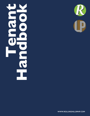# **Tenant**  Handbo **Handbook**



**WWW.ROLLINGHILLSMHP.COM**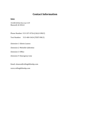# **Contact Information**

# **Iowa**

31100 653rd Ave Lot 119 Maxwell, IA 50161

Phone Number: 515-337-0726 (CALLS ONLY)

Text Number: 515-400-3424 (TEXT ONLY)

*Extension 1:* **Edwin Leanos** 

*Extension 2:* Michelle Gallentine

*Extension 3:* Office

*Extension 9:* Emergency Line

Email: eleanos@rollinghillsmhp.com www.rollinghillsmhp.com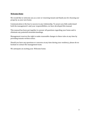#### **Welcome Home**

We would like to welcome you as a new or renewing tenant and thank you for choosing our property as your new home.

Communication is the key to success in any relationship. To assure you fully understand both the management's and your responsibilities, we have developed this manual.

This manual has been put together to answer all questions regarding your home and to eliminate any potential misunderstandings.

Management reserves the right to make reasonable changes to these rules at any time by providing tenants written notice.

Should you have any questions or concerns at any time during your residency, please do no hesitate to contact the management team.

We anticipate an exciting year. Welcome home.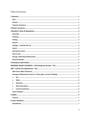# Table of Contents

| $\circ$ |
|---------|
| $\circ$ |
| $\circ$ |
|         |
|         |
|         |
|         |
|         |
|         |
|         |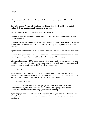#### **1 Payment**

*Rent* 

All rent is due the first day of each month. Refer to your lease agreement for monthly installment amount.

#### **Online Payments Preferred. Credit card, debit card, or check (ACH) is accepted online.** Cash payments are only accepted in person.

*Credit/Debit Cards incur a 3.5% convenience fee. ACH is free of charge* 

Visit our website www.rollinghillsmhp.com/tenants and click on Tenants and sign into Tenant Web Access.

Payments may also be dropped off in the designated 24 hours drop box at the office. Please include your unit address on the check to ensure we apply your payment to the correct account. 

Payments received after the 5th of the month will incur a late fee as indicated in your lease.

Accounts delinquent more than one  $(1)$  month's rent may be required to set up automatic recurring payment via ACH or credit card for the duration of the lease agreement.

All returned payments (NSF or other reason) will incur a penalty as indicated in your lease. Should we receive two (2) returned payments from any one individual, we may require all future payment by credit card, cashier's check, or money order.

#### *Eviction*

If rent is not received by the 10th of the month, Management may begin the eviction process. Management will seek to collect all rent (past due and future), late charges, court costs, and reasonable attorney fees; in accordance with local laws.

#### *Payment Assistance*

Contact your local emergency assistance programs in your area. Many areas have government emergency assistance programs available when people have hardships. Contact the government's local housing agency and ask for help.

If you can pay part of the rent, but not all of it, contact Management before the rent is due. Failure to communicate in advance will reduce the likelihood Management can offer assistance.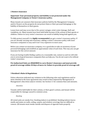#### **2 Renters Insurance**

#### **Important:** Your personal property and liability is not protected under the **Management Company or Owner's insurance policy.**

Many tenants are unaware that insurance policies held by the Management Company and/or Owners on the property do not protect them or their personal belongings or the liability of themselves or their guests.

Losses have and may occur due to fire, power outages, wind, water damage, theft and vandalism, etc. Many tenants have been held liable because of the actions of their guests or children. Failure to carry renter's insurance can result in liability being held against you.

To fully protect yourself, it is *highly recommended* you get a renter's insurance policy. If you are already carrying auto insurance, adding a renter's insurance policy with most insurance companies is easy and it isn't very expensive in most cases.

Before you contact an insurance company, it is a good idea to take an inventory of your personal belongings and establish an approximate value of each item. This way you can get insurance for the correct amount.

If you are having trouble finding a policy at a reasonable rate, contact us and we will refer you to several good insurance companies that can help you. You do not want to be without renter's insurance.

**Pet Authorized Units are REQUIRED to carry Renter's Insurance and must provide** proof of coverage within 30 days of move-in. Failure to provide proof of coverage will

### **3** Resident's Rules & Regulations

Unless otherwise indicated any violation to the following rules and regulations and/or items detailed in the lease agreement may result in fines imposed by Management at Management's discretion and/or eviction. See Section 11 for common fines and amounts.

*Amenities* 

Tenants will be held liable for their actions, or their guest's actions, and tenant will be responsible for damage caused to common areas.

*Smoking* 

All rental units are smoke free. Smoking indoors is prohibited. Smoking indoors leaves smells and stains on walls, ceiling, carpets, and window coverings that are difficult to remove. All tenants must smoke outside and dispose of cigarette butts properly.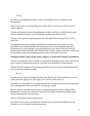#### *Parking*

All vehicles, including motorcycles, scooters, and mopeds, must be registered with Management. 

There is to be zero on-street parking. Any vehicle that is on the street will be towed at owners expense.

Tenants are required to place the parking pass in their vehicle in a visible location and it must be visible at all times, cars not showing a parking pass will be towed.

Tenants will be given two parking passes, for each additional parking pass it is a \$25 a month fee.

If designated motorcycle parking is identified, all motorcycles and scooters are only permitted in the area(s) identified. All motorcycles and scooters/mopeds must have a kickstand pad to avoid damages to paved parking lots. Any vehicle observed without a kickstand pad will be accessed a fine. Motorcycles, scooters, mopeds, and other vehicles are not permitted inside units, including porches, patios, and decks at any time.

#### Parking of trailers, large trucks, boats, campers, or inoperable vehicles is prohibited.

Tenants are required to move vehicles as requested by Management for snow removal and other reasons as deemed necessary for operation and maintenance of the property.

Vehicles found in violation of any parking guidelines may be towed by Management at the owner's expense without warning.

#### *Bicycles*

Bicycles must be stored in designated areas only. Bicycles are NOT permitted on porches, patios, balconies, light posts, street signs, trees, fences, within units, etc.

Tenant(s) are responsible for providing methods for securing the bicycle in the designated areas. Management will not be liable for any damage or theft.

Bicycles found in unauthorized locations or deemed abandoned will be confiscated by Management. Owners may claim their bicycle by providing a detailed description of the bicycle and paying the associated fine.

### *Exterior Decorations & General Appearance*

Any exterior decoration is prohibited in all units. Items specifically prohibited, but not limited to, are: corn stocks, and advertisements.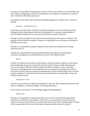Tenants are responsible for keeping the exterior of their unit and the area around their unit free of debris and garbage. Failure to maintain the area properly is considered a nuisance and a violation of the lease agreement.

No furniture, other than patio furniture specifically designed for outdoor use, is allowed outside. 

*Garbage – Curbside Pick Up* 

Each unit is provided with a container by Ankeny Sanitation. If your container becomes damaged, please notify Ankeny Sanitation immediately. It is tenant's responsibility to contact Ankeny sanitation to set up account and have container delivered.

Garbage must be promptly removed from units and placed in the exterior containers. All garbage must fit into the container. Tenants are responsible to set containers curbside for collection every week.

Tenants are responsible for proper disposal of any items not accepted in the weekly collection service. 

Tenants are responsible for learning and following local ordinances pertaining to containers, garbage and recycling collection services and collection days.

*Guests* 

Tenants are liable for the actions of their guests. Limit the number of guests to your home and immediately ask guests to leave the premises if they become unruly. Management reserves the right to limit the number of guests within a complex or unit at any time. Occasional overnight guests are permitted however; any guest remaining in the unit for more than 24 hours must be reported to Management. Guests staying longer than 24 hours may be considered an Unauthorized Occupant resulting in fines and possible eviction for violation of lease terms.

*Alterations to Unit* 

Tenants are not allowed to make any alterations to the unit. This includes alterations to the paint or wallpaper, structural changes, or flooring alterations.

Do not remove any fixtures or furnishings supplied by Management.

*Heat in Unit* 

Tenants are responsible for keeping the heat set to a level to prevent freezing of pipes. Keep heat at a minimum of 60 degrees. All tenants are responsible to keep all entrance doors to common areas, hallways, and stairways closed to prevent freezing of pipes. Tenant will be responsible for the cost of any repairs deemed results of tenant's actions.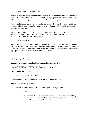#### *Storage- Utility Rooms/Basements*

Units that have direct access to their furnace room are prohibited from storing anything within 5 feet of your furnace. There needs to be enough space to access equipment on all sides to allow a service person to perform maintenance and repairs.

Piles of stuff can obstruct service and maintenance as well as interfere with the efficient operation of your equipment. Remember to keep all flammable/combustible products a further distance away.

If your furnace room doubles as the laundry room, store cleaning chemicals in tightly sealed containers. Cleaners, bleaches, and laundry detergents accelerate the rusting and failure of the heat exchanger in the furnace.

#### *Electrical Breaker*

Do not shut off your breakers at any time. Doing so will also shut off your heat (including gas furnaces and boilers) and any hard-wired smoke detectors. Damage due to frozen pipes or fire can amount to thousands of dollars and the Tenant will be responsible for the cost of any repairs deemed to be the results of tenant's actions.

### **4 Emergency Information**

#### An emergency is any situation that requires immediate action.

PERSONAL INJURY ACCIDENTS - Call Emergency Services - 911

#### **FIRE** - Call the Fire Department - 911

*After Hours Office Assistance* 

#### Call 515-337-0726 and press 9 to reach our emergency number

Office Hours Assistance Issues:

*Emergency Maintenance issue (i.e. frozen pipes, no heat, flooding).* 

- o *Gas*
	- **•** If you smell gas, immediately vacate the unit. Do not turn anything on or off, do not use your phone, do not open any windows or attempt to ventilate the unit. Call the Fire Department.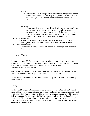- o *Water*
	- If a water pipe breaks or you are experiencing flowing water, shut off the main water valve immediately and begin the work to clean up the water spillage. Call the After-Hours line to report the issue to Management.
- o *Electricity*
	- **•** If your electricity goes out, check the circuit breaker/fuse box. Re-set any tripped breakers/replace burnt out fuses. Check the surrounding area to see if there is widespread outage. Call the After-Hours line ONLY IF the outage will cause immediate personal injury or property damage (i.e. frozen pipes, no heat, downed power line).
- Noise Disturbance
	- $\circ$  If possible, try to resolve the issue by directly speaking with the party causing the disturbance. If disturbance persists, call the After-Hours line.
- Lock Out Assistance
	- $\circ$  Tenant will be charged for lockout assistance occurring outside of normal business hours.

*Severe Weather* 

Tenants are responsible for educating themselves about seasonal threats from severe weather and preparing an emergency plan. Tenants may visit the National Weather Service website for safety information about various types of severe weather. http://www.weather.gov/safety/ 

If severe weather causes property damage after business hours, protect property to the best of your ability. Contact the property manager to report damages.

A storm shelter is located in the basement of the laundry mat to protect your life during severe weather.

### **5 Safety**

Landlord and Management does not provide, guarantee or warrant security. We do not represent that your apartment, house, townhome, mobile home, or rental community itself is safe from criminal or wrongful activities by other residents, their guests or third parties. Each resident must be responsible for his/her own personal security and that of their household, children guests and property. If you observe suspicious activity or potentially unsafe conditions, please notify Management. If illegal or immediately dangerous or unsafe conditions are observed, call 911.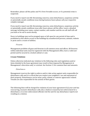Remember; please call the police and 911 first if trouble occurs, or if a potential crime is suspected. 

If you need to report non-life-threatening concerns, noise disturbances, suspicious activity or potentially unsafe conditions issue during business hours please call your respective complex manager.

If you need to report non-life-threatening concerns, noise disturbances, suspicious activity or potentially unsafe conditions issue after hours please call the office. Leave a detailed message including your name, contact number, unit number and the on-call staff will call you back or be out to assist shortly.

Doors to buildings may not be propped open or left open for any period of time and is prohibited as this allows access to the buildings by unauthorized persons, animals, rodents or pests and is a waste of utilities.

#### *Firearms*

Management prohibits all guns and firearms in all common areas and offices. All firearms within individual units must be registered with the Management office, have a valid user permit and be secured in a locked cabinet or case.

#### **6 Lease Violations**

Unless otherwise indicated any violation to the following rules and regulations and/or items detailed in the lease agreement may result in fines imposed by Management at Management's discretion and/ or eviction. See Section 11 for common fines and amounts.

#### *Disturbances*

Management reserves the right to enforce and/or take action against units responsible for disturbance calls and it is critical that you respect your neighbors' use and enjoyment of their property. Disturbances can be noise, party, animal, or exterior appearance related. Tenants are also responsible for the actions of their guests.

The following fines will be charged for violation of your lease agreement if (a) your unit has reoccurring, excessive disturbance calls; (b) a citation is issued by law enforcement for a disturbance; or  $(c)$  law enforcement officials visit the unit for any disturbance reports not resulting in a citation: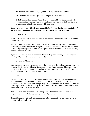**1st offense/strike:** one-half (1/2) month's rent plus possible eviction

**2nd offense/strike:** one (1) month's rent plus possible eviction

**3rd offense/strike:** Immediate eviction and responsible for the rent due for the remainder of the lease agreement and/or license suspension period, whichever is greater, as permitted in accordance with local laws.

#### If you are evicted; you will still be responsible for the rent due for the remainder of the lease agreement and for loss of income resulting from lease violations.

#### *Disorderly Unit*

At certain times during the term of you lease, Management will inspect your rental unit for upkeep and condition. 

If it is determined the unit is being kept in an unacceptable sanitary state and/or being abused beyond normal wear and tear, you will receive a notice for a disorderly unit. It will be your responsibility to clean, repair, and replace items as outlined in the notice, this may include pest removal costs.

If you do not have a vacuum cleaner, invest in one. Regular vacuuming or cleaning your flooring will greatly deter excessive wear and tear.

#### *Unauthorized Occupants*

Only parties named on the lease can occupy the unit. Guests deemed to be occupying a unit for more than 24 hours, without written consent from Management, will be deemed an unauthorized occupant. Units with unauthorized occupants may be charged a fine and face possible eviction for violation of the lease terms.

*Pets* 

All pets must have prior approval by management before being brought into Rolling Hills Mobile Home Park. All pets must be under 35lbs, current on vaccines and be altered. Persons with a disability or elderly requesting accommodation need to contact the office as we have policies set in place. All dogs are to be kept on a leash while outside and be outside for no more than 15 minutes at a time.

Waste products from pets must be picked up promptly and not left in the yard or on property. Remember that this property is a rental property.

No outside dogs are allowed. All animals need to be accompanied by their owner when outside at all hours all days.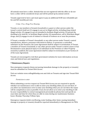All animals must have a collar. Animals that are not registered with the office or do not have a collar will be considered strays and will be picked up by animal control.

Tenants approved to have a pet must agree to pay an additional \$100 non-refundable pet fee and \$25 monthly pet rent.

# *Crime- Free, Drug-Free Housing*

Tenants, or any members of tenants household or a guest or other person under the tenant's control shall not (1) engage in any act in illegal activity, including drug-related illegal activity;  $(2)$  engage in any act intended to facilitate illegal activity;  $(3)$  permit the dwelling to be used for, or facilitate illegal activity; (4) manufacture, sell or distribute illegal drugs; and (5) engage in acts of violence or threats of violence on or near the premises.

If Tenant, a member of Tenant's household, or any other person under Tenant's control manufactures, delivers, possesses with intent to deliver, or possesses a controlled substance on the Premises, the Lease Agreement shall be subject to termination. If Tenant, a member of Tenant's household, or any other person under Tenant's control causes or has threatened to cause physical injury to an individual on the Premises or other Property owned by Landlord, the Lease Agreement shall be subject to termination as per Section 2S of the Lease Agreement.

Tenants are encouraged to visit their government websites for more information on local, state and federal laws and regulations.

# **7 Maintenance/Repairs**

Non-emergency requests (items not posing immediate damage to the property or tenants) must be submitted via Tenant Web Access.

Visit our website www.rollinghillsmhp.com and click on Tenants and sign into Tenant Web Access. 

### *Permission to enter*

When submitting a service request via Tenant Web Access you are required to specify whether our maintenance crew is able to enter your dwelling while you are not there. If you allow our maintenance crew to enter your dwelling when you are not there the repair will be completed as soon as possible. If you do not allow us to enter your dwelling it will be your responsibility to contact management personally by phone/text and specify an exact date and time for when they are able to come during our maintenance business hours. Monday-Thursday 9:00am-3pm.

Emergency requests (toilet overflowing, water leaking, other items causing immediate damage to property or tenants) should be reported immediately to Management via TWA.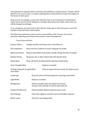All maintenance requests will be evaluated and handled in a timely manner. Tenants will be billed for any cost to repair or replace anything that is determined to result from neglect of the tenant or their guest.

Keep at least one plunger in your unit, and learn how to use it properly. If maintenance must remove excessive hair buildup or a foreign object from your toilet, sink or tub, you will be charged accordingly.

In an emergency, you may need to shut off your water, gas or electrical power. Learn the  $location of shut off values and breaksers.$ 

The following maintenance items are the responsibility of the Tenants. If you have questions regarding any of these items, please contact Management.

#### *Tenant Responsibilities*

| <b>Furnace Filters:</b>                           | Change monthly and always have clean filters in                                                  |  |
|---------------------------------------------------|--------------------------------------------------------------------------------------------------|--|
| Air Conditioner:                                  | Keep unit free of debris to ensure adequate air intake.                                          |  |
| <b>Bathroom Drains:</b>                           | Remove hair/debris from drains weekly. Plunge the line as needed.                                |  |
| Kitchen Drains:                                   | No grease, fat, or other objects that will clog the drain                                        |  |
| Dishwasher:                                       | Rinse off food from dishes before placing in dishwasher                                          |  |
| Fuses (if applicable):                            | Replace as needed.                                                                               |  |
| Garbage Disposals (if applicable):<br>clean daily | Only put approved items down the disposal and                                                    |  |
| Landscape:                                        | Keep the yard and landscaping free of garbage and debris.                                        |  |
| Light Bulbs:                                      | Replace as needed.                                                                               |  |
| Refrigerator:                                     | Defrost monthly (does not apply if frost free).<br>Vacuum coils monthly to remove dust build-up. |  |
| Smoke/CO Detectors:                               | Check monthly. Replace batteries once a year.                                                    |  |
| Stove/Range:                                      | Clean thoroughly as needed to prevent buildup of grease.                                         |  |
| <b>Water Leaks:</b>                               | Check for any leakage daily.                                                                     |  |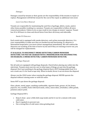#### *Damages*

Damages caused by tenants or their guests are the responsibility of the tenants to repair or replace. Management will bill the tenant for the cost of the repair as additional rent owed.

### *Lawn Care/Snow Removal*

Tenants are responsible for maintaining the yard free of garbage, debris, waste, and/or other items possibly resulting in a nuisance. Tenants are responsible to follow all snow removal procedures. Failure to do so may result in tow charge at owners' expense. Tenant has 24 to 48 hours to clean and shovel know from there driveway and sidewalks.

#### *Smoke/CO Detectors*

Each rental unit is equipped with smoke detectors, and carbon monoxide detectors. It is your responsibility to make sure they are hooked up and functioning. If a detector is determined inoperative, you must contact management immediately. We will confirm the detectors are working at the time of move-in/out and if they are missing at move-out, you will be charged for replacements.

#### **IT IS ILLEGAL TO DISCONNECT SMOKE DETECTORS/CARBON MONOXIDE** DETECTORS. YOU MAY BE CHARGED WITH A MISDEMEANOR FOR DISCONNECTING **OR DISABLING A SMOKE DETECTOR/ CARBON MONOXIDE DETECTOR.**

### *Garbage Disposals*

Not all units are equipped with garbage disposals. Check before placing any solids into the sink drain. Tenants must exercise care in what types of things are put into the garbage disposal. Don't put anything in the garbage disposal that is NOT biodegradable food. It is not a trash can; it's for food scraps only. When in doubt, throw it out not down the disposal.

Always run the COLD water when running the garbage disposal. NEVER operate the disposal without running water or with hot water.

Items NOT to put down the garbage disposal:

Glass, plastic, metal, paper, anything combustible, cigarette butts, grease, oil, fat, bones, popcorn, rice, noodles, fruits with hard seeds, celery, onion skins, artichokes, coffee grinds, potatoes and/or peels.

Garbage Disposal DO's:

- Keep it clean pour a little dish soap inside and let it run for a minute with some cold water.
- Run it regularly to prevent rust.
- Use a strong flow of cold water when grinding food.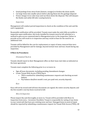- Grind peelings from citrus fruits (lemons, oranges) to freshen the drain smells.
- Cut large items into smaller pieces before placing them into the garbage disposal.
- Freeze vinegar in ice cube trays and run those down the disposal. This will sharpen the blades and safely kill odor causing bacteria.

#### *Inspections*

Management will conduct period inspections to check on the condition of the unit and the unit's equipment.

Reasonable notification will be provided. Tenants must make the units fully accessible to inspection upon notification. Any locks installed by tenants must be left unlocked or a method to gain access communicated to Management prior to the inspection. Failure to provide access will result in re-inspection and may result in fines for the need for an additional visit.

Tenants will be billed for the cost for replacement or repair of items removed that were provided by Management and for damage, beyond normal wear and tear, found during any inspection. 

#### **8 Move-In Procedures**

#### *Orientation/Check-in*

Tenants should report to their Management office on their lease start date as indicated on the lease agreement.

Tenants must complete the following prior to or at move-in:

- Sign all lease documents, including pending Amendment changes
- Create Tenant Web Access (TWA) log in
	- TWA is method for submitting maintenance requests and checking account balance
	- Pay balance due (first month's rent, pre-paid rent, security deposit)

*Keys* 

Keys will not be issued until all lease documents are signed, the entire security deposit, and the first month's rent has been received in full.

#### *Move-In Inspection*

Please inspect the unit thoroughly at move-in. Tenant will be provided with Move-In Inspection form (a.k.a - Inventory Checklist). Tenant is responsible for noting of any items in your rental unit that have pre-existing wear and tear. Damaged items in need of repair should be reported by submitting a maintenance request via Tenant Web Access (TWA). All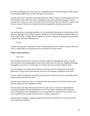furniture coming into our units must be completely new to avoid bed bugs or other insects from being brought into our units through used furniture.

Tenants must turn in the Move-In Inspection form within 3 days of receiving possession of the Premises to be valid. You will be charged for any undocumented damages, beyond normal wear and tear, to your unit at the end of your lease. You are entitled to request and receive a copy of the Move-In Inspection form completed by the last prior tenants.

#### *Garbage*

Any garbage (boxes, packing materials, etc.) accumulated during move-in that does not fit into your garbage or recycling container, dumpster, or trash compactor must be taken to a local waste facility. Garbage placed outside of a trash receptacle or dumpster may result in a disturbance fine from Management.

#### *Utilities*

Tenants moving into a unit/house where cable/internet service IS NOT included with rent will be responsible for contacting service providers to set up service.

### **9 Move-Out Procedures**

#### *Check-Out*

Each tenant must check out, in-person, at their respective Management office. Tenants must provide a forwarding address and return all the keys for the unit. Additional charges will apply for any keys not returned on or before the lease end date (\$50 per key).

Tenants must be out of the unit by the lease end date and time indicated on the lease agreement. All personal items must be removed and cleaning completed at this time.

Tenants will be charged for removal of personal items still in the unit or remaining on the property after the lease end date.

Tenants must return the unit in a "rentable state" upon lease end. See list of areas to be cleaned under the Unit Condition section.

Tenants must call cable/internet providers to stop service. Tenant is responsible for returning all cable/internet equipment to service provider, including units with basic service included in rent. Management is not responsible for charges incurred after your lease end date if tenant fails to stop service or return equipment.

Tenants must complete a change of address with the US Postal Service to forward their mail to their new address.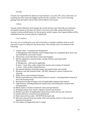#### *Garbage*

Tenants are responsible for dispose of any furniture, car parts, TV's, tires, electronics, or anything else that cannot be bagged and fit into the container. The cost of removing garbage that the hauler will not take will be billed to the tenant.

#### *Utilities*

Tenants will be billed for final charges the month of lease end. Final bills are estimated calculations based on 90-days of Tenant's own unit's past bills, along with historical weather trends and bill history for the property and/or region. Any unpaid utilities will be withheld from the security deposit, if applicable.

### *Unit Condition*

As a rule, we are looking for your unit to be left in a rentable condition with no work necessary to get it in shape for the next tenant. This includes but is not limited to the following: 

- 1. Carpets clean vacuumed and shampooed. A: Management will schedule carpet shampooing to be completed upon move-out and will bill the cost to the Tenant.
- 2. Hard (vinyl, wood, tile) floors swept and mopped.
- 3. Kitchen appliances cleaned inside, outside, behind, and underneath. These include:
	- A: Refrigerator defrosted if applicable
	- B: Stove hood, tiles, walls, exhaust fan, burner pans (replace if stained) C: Oven - racks, broiler, knobs/burners
- 4. All cabinets (kitchen and bath) empty and wiped inside and outside
- 5. Windows and sills cleaned inside DO NOT attempt to remove windows for cleaning.
- 6. Walls, doors, and woodwork cleaned.
- 7. Kitchen and bathroom sinks/toilets/fixtures cleaned including drains cleaned of hair and draining freely.
- 8. Basements/Garage/storages areas (if applicable) emptied and cleaned.
- 9. Light fixtures, including bathroom exhaust fans and ceiling fans, cleaned with working bulbs.
- 10. Blinds and/or window treatments clean and operational.
- 11. Heating/cooling vents and/or registers dusted and cleaned.
- 12. Washer and dryer (if applicable) wiped down inside and out, lint removed.
- 13. Smoke detectors connected and operational.
- 14. Nail removed from walls DO NOT fill the holes left.
- 15. All trash removed from the inside of the unit and the exterior of the unit and disposed of properly.
- 16. Fire ladders (if applicable) left in rooms.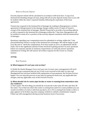#### *Return of Security Deposit*

Security deposit refund will be calculated in accordance with local laws. A copy of an itemized list detailing charges (if any), along with all security deposit money due to you will be mailed within the state's required timeline following the expiration of the lease agreement. 

Tenant may respond to the itemized list of damages by mailing to Management a written agreement of disagreement to the damage charges within seven (7) days of Tenant's receipt of the itemized list of damages. Should Tenant fail to provide a forwarding address or fail to respond to the itemized list of damages within the 7-day time, Management will be entitled to retain all or a portion of the security deposit consistent with the itemized list of damages.

Questions regarding your computation must be submitted in writing, within the 7-day period following Tenant's receipt of the itemized list of damages. We will be happy to pull your file and re- check the computation. If we have made an error, an adjustment will be made. Due to the significant amount of time involved in getting answers to your questions before we respond, and due to statutory requirement, we will only answer questions submitted in writing. We will answer all written requests for file review in a timely manner. 

# **10 FAQ**

*Rent Payments* 

# **Q: What happens if I can't pay rent on time?**

A: Notify the Onsite Manager if you can't pay rent. In most cases, management will work with you to get a payment plan set up. If rent is not received on the date it is due and Management has not been notified with explanation of non-payment, the Eviction Process begins. You can stop this process at any time by paying all owed rent, any applicable late charges, and any applicable costs of the Eviction Process.

### **Q.** What should I do if a water pipe breaks or water is running from somewhere into **my residence?**

A. Don't panic. The first thing you should do is locate the water shut off valve and shut off the water. Try to find out where the water is coming from and if it is some problem you can resolve (overflow of a tub or sink from up above, etc.). If it is coming from inside a wall or a pipe appears to be broken, log onto company website to submit a maintenance request. Follow up with management during normal business hours if necessary.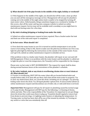## **Q.** What should I do if the pipe breaks in the middle of the night, holiday or weekend?

A. If this happens in the middle of the night, you should shut off the water, clean up what you can and call the emergency message service. Management will not pay for plumbers coming out in the middle of the night unless leak is unable to be stopped by turning off main water valves. Unfortunately, things sometimes happen on a weekend or holiday. If this occurs, shut off the water and log onto company website to submit an online maintenance request. Service may not be available until a weekday so you might have to deal with not having water for a few days.

### **Q.** My sink is leaking (dripping or leaking from under the sink).

A. Submit an online maintenance request to have repaired. Place a bucket under the leak and limit use of the sink until repair is completed

# **Q.** No hot water. What should I do?

A. First check the water heater to see if it is turned on and the temperature is set on the warm to hot setting. If that is OK, check to make sure the pilot has not blown out. If it is out, light the pilot light by following the instructions on the outside of the water heater. If you can't get it lit, submit an online maintenance request to schedule service.

If the problem is due to a faulty water heater, the plumber will repair at our cost and will bill Management. If there is no problem with the water heater and the plumber is called out to light the pilot or reset the temperature, the Tenant(s) will be responsible for the charges.

Please note: no hot water is NOT AN EMERGENCY. The request for repair shall be done during normal business hours at the convenience of the plumber's schedule.

#### **Q.** My toilet, bathtub, sink or any drain is overflowing, drains slow or won't drain at all. What should I do?

A. If water is overflowing, SHUT OFF the water (shut offs are located behind toilet and usually below sink). If no shut offs are there, then shut off the main water to property. Try to clear any obstructions (hair, etc.) from the drain, including use of a plunger. Try pouring boiling water down the drain. Try all liquid plumber options first. If unsuccessful submit an online maintenance request and discontinue use of toilet, tub, or sink until item is serviced.

*Important Note:* Management will pay for all repairs to plumbing caused by normal usage or if a pipe breaks. Management will NOT pay for the following: 1.) Cleaning of drains, toilets and tubs. This is the responsibility of the  $T$ enant(s). It is important to not put things down the drain that could cause them to plug up. Tenant(s) should regularly remove hair from drains to prevent clogs. 2.) Lighting water heaters or adjusting the temperature. 3.) Turning water on that has been shut off by one of the tenants by mistake. 4.) Turning on any switch or valve that was mistakenly shut off.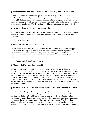# **Q.** What should I do if water flows into the building during a heavy rain storm?

A. First, check the gutters and downspouts to make sure they are cleaned out and are all attached. (The purpose of gutters and downspouts is to push the water away from the building.) If that doesn't prevent the problem, make all efforts to prevent water from the inside and move personal items out of harm's way. Submit online maintenance request and follow up with a call to the After-Hours line by calling the office and selecting option 9.

# **Q.** My water is brown and dirty, what should I do?

A. Run all the faucets to see if line clears. If no resolution, wait a day or two. This is usually caused by the City flushing the fire hydrants. Your city website may have alerts listed for your area.

### *Electrical Problems*

### **Q.** My electricity is out. What should I do?

A. Check the circuit breaker box to see if a fuse has blown or a circuit breaker is tripped. Check to see if the neighbors' electricity is out. (Sometimes the electrical problem is a blown transformer caused by overheating, animals, lightning, etc.). Verify with the service provider all payments have been received and service is set up for the unit. If issue is not resolved, submit an online maintenance request.

*Heating and Air Conditioner Problems* 

### **Q.** What do I do if my heat doesn't work?

A. Check the thermostat to make sure the heat is turned on, if fixture is digital, change the batteries. Check that the temperature is set to a level where the heat should come on. If OK, then check to make sure the electric switch is turned on by the furnace. Check and change the filter. A dirty filter can cause the furnace to shut down. If the furnace has a pilot light make sure it is lit and has not blown out. The instructions to light the pilot are generally located by the furnace. Contact your gas service provider to verify payments have been received and service has been set up for your unit. If issue is not resolved, submit an online maintenance request.

### **Q.** What if the furnace doesn't work in the middle of the night, weekend or holiday?

A. First, try all the things in the answer to the question above. Check thermostat, switch and pilot. The next step depends on the temperature outside. If the temperature is above freezing, it is NOT AN EMERGENCY. Log on to company website to submit an online maintenance request. Put on extra clothing and do the best you can until the furnace repair person gets there. If the temperature is below freezing, contact the After-Hours line by calling the office and selecting option 9. Use your own space heaters and put on more clothing until the furnace repair person gets there and fixes the problem. (Keep in mind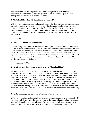that if they come out and simply turn the furnace on, light the pilot or adjust the thermostat, you will be responsible to pay that bill). If it is a furnace repair problem, Management will be responsible for the charges.

# **Q.** What should I do if my Air Conditioner won't work?

A. First, check the thermostat to make sure it is set to the right setting and the temperature setting is set properly. Make sure the circuit breaker has not tripped or a fuse has not blown and that the electric switch is on. Check and change the furnace filter. If issue still exists, submit an online maintenance request and follow up with management during normal business hours. This is NOT AN EMERGENCY and it may take a few days to have this repaired.

*Lockouts* 

# **Q. I locked myself out. What should I do?**

A. If it is during normal business hours, contact Management to come open the door. There will not be a cost for this service, unless you have lost your key. If it is after normal business hours, tenants will be charged a lockout assistance fee. If Management is not available to assist, call a locksmith to let you in at your cost. If the lockset is broken and needs to be replaced because of your actions or the locksmith's actions, you will be responsible for that cost. Breaking in through windows or doors is prohibited and you will be responsible for any damages and the cost of repair.

*Appliance Problems* 

# **Q. My refrigerator doesn't cool or seem to work. What should I do?**

A. Check the temperature adjustment in the refrigerator. Check to make sure it is plugged in and the fuse has not blown or the circuit breaker is not tripped. Check to see if a ground fault plug is tripped. Pull fridge away from the wall and vacuum and clean off coils in the back. Check to make sure the freezer is not packed full of food preventing air flow to the unit. If after that it still doesn't work, log onto the company website and submit an online maintenance request. If the refrigerator cannot be repaired, it will be replaced. This can take two to three days to remove and replace the appliance. Tenant is responsible for finding alternative storage for all perishable items until service is completed. Management is not liable for losses. This is not an EMERGENCY and it will be repaired or replaced during normal business hours.

### **Q.** My stove or range top won't work/ heat up. What should I do?

A. If the appliance is electric, check fuses/circuit breakers and make sure it is plugged in. If after that it still doesn't work, log onto company website and submit an online maintenance request. If the appliance is gas, make sure all the pilots are lit. Make sure the stove is clean. Grease and dirt may clog the orifices that allow the pilot to stay lit and prevent the gas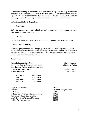burners from heating up. If after that it still doesn't work, log onto company website and submit an online maintenance request. If the stove or range cannot be repaired, it will be replaced. This can take two to three days to remove and replace the appliance. This is NOT an emergency and it will be repaired or replaced during normal business hours.

#### **11 Additional Rules & Regulations**

#### *Construction*

No fencing, or construction of any kind such as decks, sheds, play equipment etc. without prior approval by management.

*Lagoons* 

The lagoon is an extremely restricted area and should not be trespassed by anyone.

### **12 List of Standard Charges**

To avoid paying additional rent charges, please review the following items and their minimum charges: The list provided is an example of the most common issues that arise; the list is not intended to be exhaustive and all inclusive; prices may increase without notice based on current market prices.

#### **Charge Type**

Bicycle in Unauthorized Area **825.00** incident Community Rules & Regulations violation \$50/per violation Disturbance violation- may include eviction Failure to pick up pet waste  $$25.00/incident$ Garbage Removal **Exercise 2018** S15.00/incident

| \$50.00/item |
|--------------|
| \$10.00/each |
| \$50.00/item |
| \$50.00/item |
|              |

| \$35.00  |
|----------|
| Refer to |
| \$100.0  |
| \$50.00  |
| \$50.00  |
| \$35.00  |
| \$20.00  |
|          |

Refer to lease agreement  $$100.00$